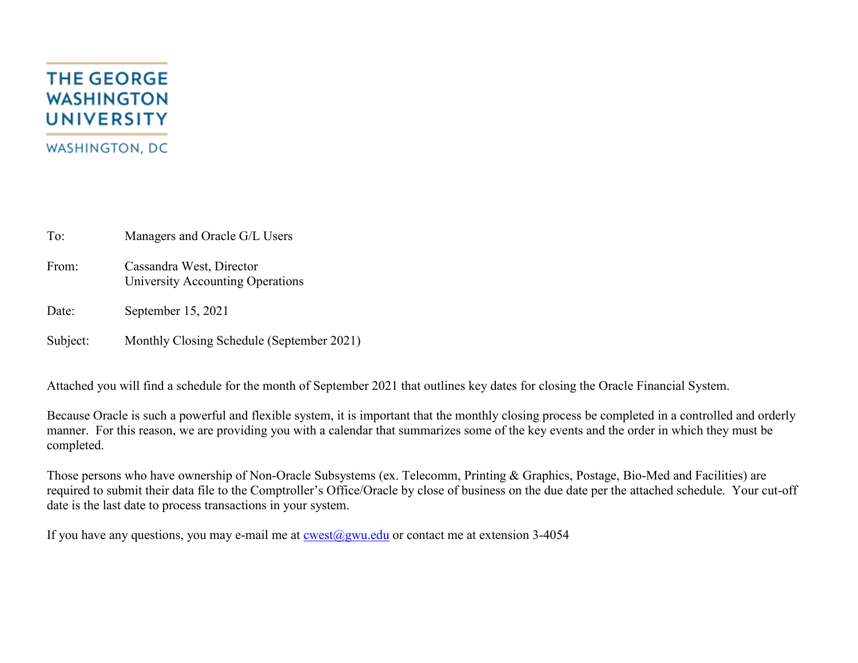# **THE GEORGE WASHINGTON UNIVERSITY WASHINGTON, DC**

To: Managers and Oracle G/L Users

- From: Cassandra West, Director University Accounting Operations
- Date: September 15, 2021

Subject: Monthly Closing Schedule (September 2021)

Attached you will find a schedule for the month of September 2021 that outlines key dates for closing the Oracle Financial System.

Because Oracle is such a powerful and flexible system, it is important that the monthly closing process be completed in a controlled and orderly manner. For this reason, we are providing you with a calendar that summarizes some of the key events and the order in which they must be completed.

Those persons who have ownership of Non-Oracle Subsystems (ex. Telecomm, Printing & Graphics, Postage, Bio-Med and Facilities) are required to submit their data file to the Comptroller's Office/Oracle by close of business on the due date per the attached schedule. Your cut-off date is the last date to process transactions in your system.

If you have any questions, you may e-mail me at  $\cos(\omega)$ gwu.edu or contact me at extension 3-4054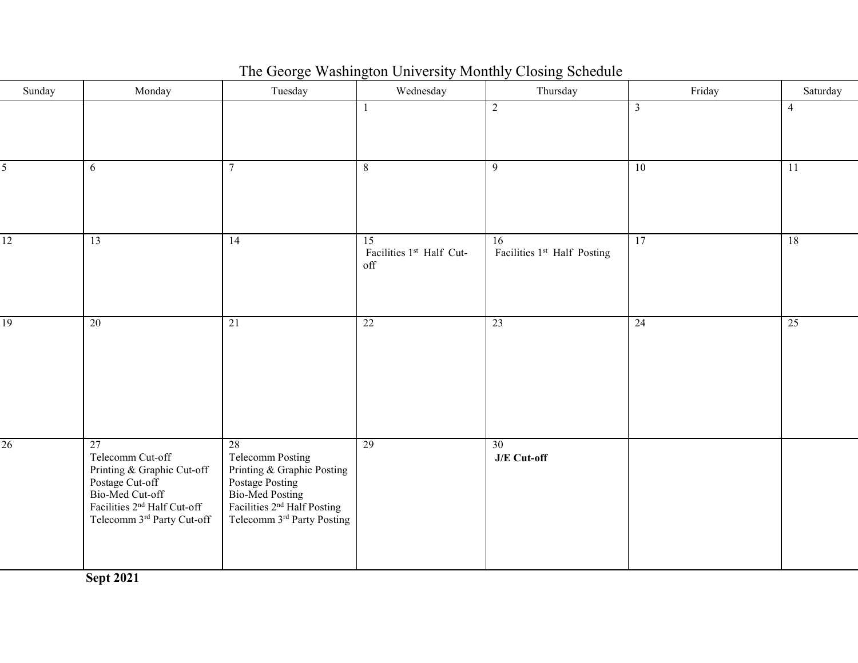| Sunday | Monday                                                                                                                                                              | Tuesday                                                                                                                                                                                      | Wednesday                                          | Thursday                                                   | Friday         | Saturday        |
|--------|---------------------------------------------------------------------------------------------------------------------------------------------------------------------|----------------------------------------------------------------------------------------------------------------------------------------------------------------------------------------------|----------------------------------------------------|------------------------------------------------------------|----------------|-----------------|
|        |                                                                                                                                                                     |                                                                                                                                                                                              | $\mathbf{1}$                                       | $\overline{c}$                                             | $\mathfrak{Z}$ | $\overline{4}$  |
| 5      | 6                                                                                                                                                                   | $7\overline{ }$                                                                                                                                                                              | 8                                                  | 9                                                          | 10             | $\overline{11}$ |
| 12     | 13                                                                                                                                                                  | 14                                                                                                                                                                                           | $\overline{15}$<br>Facilities 1st Half Cut-<br>off | $\overline{16}$<br>Facilities 1 <sup>st</sup> Half Posting | 17             | 18              |
| 19     | 20                                                                                                                                                                  | 21                                                                                                                                                                                           | 22                                                 | 23                                                         | 24             | 25              |
| 26     | 27<br>Telecomm Cut-off<br>Printing & Graphic Cut-off<br>Postage Cut-off<br>Bio-Med Cut-off<br>Facilities 2 <sup>nd</sup> Half Cut-off<br>Telecomm 3rd Party Cut-off | $\overline{28}$<br>Telecomm Posting<br>Printing & Graphic Posting<br>Postage Posting<br>Bio-Med Posting<br>Facilities 2 <sup>nd</sup> Half Posting<br>Telecomm 3 <sup>rd</sup> Party Posting | 29                                                 | 30<br>J/E Cut-off                                          |                |                 |

# The George Washington University Monthly Closing Schedule

**Sept 2021**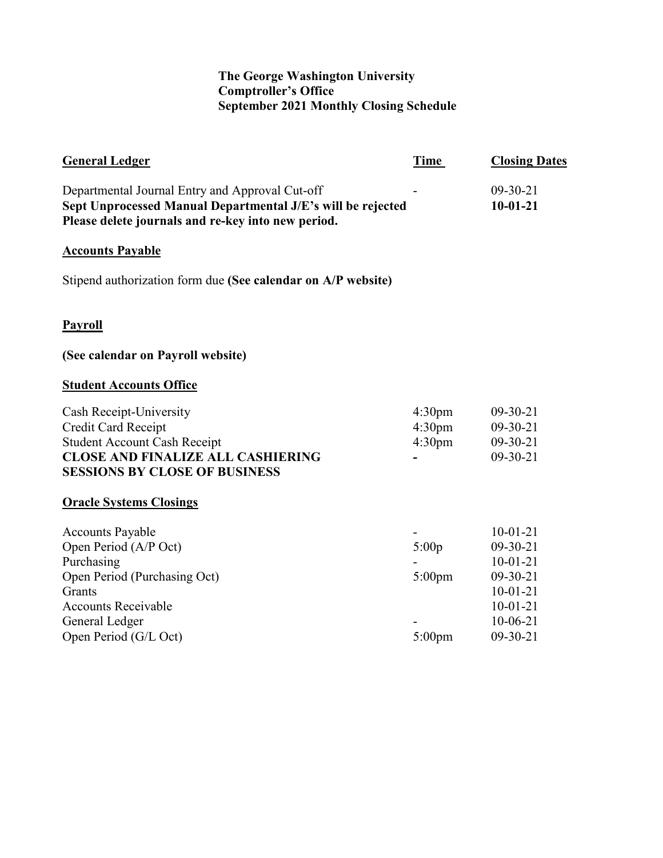## **The George Washington University Comptroller's Office September 2021 Monthly Closing Schedule**

| <b>General Ledger</b>                                                                                                                                                             | Time                                                           | <b>Closing Dates</b>                                                                                         |
|-----------------------------------------------------------------------------------------------------------------------------------------------------------------------------------|----------------------------------------------------------------|--------------------------------------------------------------------------------------------------------------|
| Departmental Journal Entry and Approval Cut-off<br>Sept Unprocessed Manual Departmental J/E's will be rejected<br>Please delete journals and re-key into new period.              |                                                                | $09-30-21$<br>$10-01-21$                                                                                     |
| <b>Accounts Payable</b>                                                                                                                                                           |                                                                |                                                                                                              |
| Stipend authorization form due (See calendar on A/P website)                                                                                                                      |                                                                |                                                                                                              |
| <b>Payroll</b>                                                                                                                                                                    |                                                                |                                                                                                              |
| (See calendar on Payroll website)                                                                                                                                                 |                                                                |                                                                                                              |
| <b>Student Accounts Office</b>                                                                                                                                                    |                                                                |                                                                                                              |
| Cash Receipt-University<br>Credit Card Receipt<br><b>Student Account Cash Receipt</b><br><b>CLOSE AND FINALIZE ALL CASHIERING</b><br><b>SESSIONS BY CLOSE OF BUSINESS</b>         | 4:30 <sub>pm</sub><br>4:30 <sub>pm</sub><br>4:30 <sub>pm</sub> | $09-30-21$<br>$09-30-21$<br>$09-30-21$<br>$09-30-21$                                                         |
| <b>Oracle Systems Closings</b>                                                                                                                                                    |                                                                |                                                                                                              |
| <b>Accounts Payable</b><br>Open Period (A/P Oct)<br>Purchasing<br>Open Period (Purchasing Oct)<br>Grants<br><b>Accounts Receivable</b><br>General Ledger<br>Open Period (G/L Oct) | 5:00p<br>$5:00$ pm<br>$5:00$ pm                                | $10-01-21$<br>$09-30-21$<br>$10-01-21$<br>$09-30-21$<br>$10-01-21$<br>$10-01-21$<br>$10-06-21$<br>$09-30-21$ |